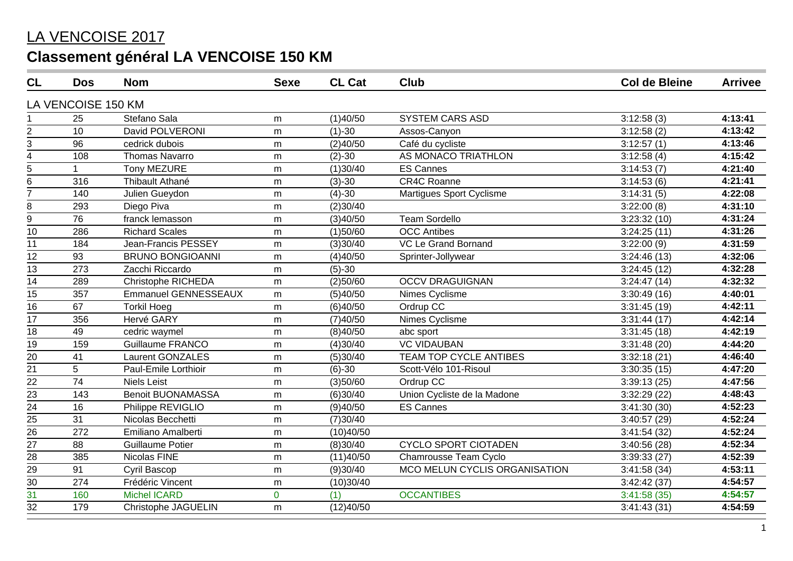| CL                      | <b>Dos</b>         | <b>Nom</b>               | <b>Sexe</b>    | <b>CL Cat</b> | <b>Club</b>                   | <b>Col de Bleine</b> | <b>Arrivee</b> |
|-------------------------|--------------------|--------------------------|----------------|---------------|-------------------------------|----------------------|----------------|
|                         | LA VENCOISE 150 KM |                          |                |               |                               |                      |                |
|                         | 25                 | Stefano Sala             | m              | (1)40/50      | <b>SYSTEM CARS ASD</b>        | 3:12:58(3)           | 4:13:41        |
| $\overline{\mathbf{c}}$ | 10                 | David POLVERONI          | m              | $(1)-30$      | Assos-Canyon                  | 3:12:58(2)           | 4:13:42        |
| 3                       | 96                 | cedrick dubois           | m              | (2)40/50      | Café du cycliste              | 3:12:57(1)           | 4:13:46        |
| 4                       | 108                | <b>Thomas Navarro</b>    | m              | $(2)-30$      | AS MONACO TRIATHLON           | 3:12:58(4)           | 4:15:42        |
| $\overline{5}$          | $\mathbf{1}$       | <b>Tony MEZURE</b>       | m              | (1)30/40      | <b>ES Cannes</b>              | 3:14:53(7)           | 4:21:40        |
| 6                       | 316                | Thibault Athané          | m              | $(3)-30$      | CR4C Roanne                   | 3:14:53(6)           | 4:21:41        |
| $\overline{7}$          | 140                | Julien Gueydon           | m              | $(4)-30$      | Martigues Sport Cyclisme      | 3:14:31(5)           | 4:22:08        |
| 8                       | 293                | Diego Piva               | m              | (2)30/40      |                               | 3:22:00(8)           | 4:31:10        |
| $\overline{9}$          | 76                 | franck lemasson          | m              | (3)40/50      | <b>Team Sordello</b>          | 3:23:32(10)          | 4:31:24        |
| 10                      | 286                | <b>Richard Scales</b>    | m              | (1)50/60      | <b>OCC Antibes</b>            | 3:24:25(11)          | 4:31:26        |
| 11                      | 184                | Jean-Francis PESSEY      | m              | (3)30/40      | <b>VC Le Grand Bornand</b>    | 3:22:00(9)           | 4:31:59        |
| 12                      | 93                 | <b>BRUNO BONGIOANNI</b>  | m              | (4)40/50      | Sprinter-Jollywear            | 3:24:46(13)          | 4:32:06        |
| $\overline{13}$         | $\overline{273}$   | Zacchi Riccardo          | m              | $(5)-30$      |                               | 3:24:45(12)          | 4:32:28        |
| 14                      | 289                | Christophe RICHEDA       | m              | (2)50/60      | <b>OCCV DRAGUIGNAN</b>        | 3:24:47(14)          | 4:32:32        |
| $\overline{15}$         | 357                | Emmanuel GENNESSEAUX     | m              | (5)40/50      | Nimes Cyclisme                | 3:30:49(16)          | 4:40:01        |
| 16                      | 67                 | <b>Torkil Hoeg</b>       | m              | (6)40/50      | Ordrup CC                     | 3:31:45(19)          | 4:42:11        |
| 17                      | 356                | Hervé GARY               | m              | (7)40/50      | Nimes Cyclisme                | 3:31:44(17)          | 4:42:14        |
| 18                      | 49                 | cedric waymel            | m              | (8)40/50      | abc sport                     | 3:31:45(18)          | 4:42:19        |
| 19                      | 159                | <b>Guillaume FRANCO</b>  | m              | (4)30/40      | <b>VC VIDAUBAN</b>            | 3:31:48(20)          | 4:44:20        |
| 20                      | 41                 | <b>Laurent GONZALES</b>  | m              | (5)30/40      | TEAM TOP CYCLE ANTIBES        | 3:32:18(21)          | 4:46:40        |
| $\overline{21}$         | 5                  | Paul-Emile Lorthioir     | m              | $(6)-30$      | Scott-Vélo 101-Risoul         | 3:30:35(15)          | 4:47:20        |
| $\overline{22}$         | $\overline{74}$    | <b>Niels Leist</b>       | m              | (3)50/60      | Ordrup CC                     | 3:39:13(25)          | 4:47:56        |
| $\overline{23}$         | 143                | <b>Benoit BUONAMASSA</b> | m              | (6)30/40      | Union Cycliste de la Madone   | 3:32:29 (22)         | 4:48:43        |
| $\overline{24}$         | 16                 | Philippe REVIGLIO        | m              | (9)40/50      | <b>ES Cannes</b>              | 3:41:30(30)          | 4:52:23        |
| $\overline{25}$         | $\overline{31}$    | Nicolas Becchetti        | m              | (7)30/40      |                               | 3:40:57 (29)         | 4:52:24        |
| $\overline{26}$         | 272                | Emiliano Amalberti       | m              | (10)40/50     |                               | 3:41:54(32)          | 4:52:24        |
| $\overline{27}$         | 88                 | <b>Guillaume Potier</b>  | m              | (8)30/40      | <b>CYCLO SPORT CIOTADEN</b>   | 3:40:56 (28)         | 4:52:34        |
| $\overline{28}$         | 385                | Nicolas FINE             | m              | (11)40/50     | Chamrousse Team Cyclo         | 3:39:33(27)          | 4:52:39        |
| $\overline{29}$         | 91                 | Cyril Bascop             | m              | (9)30/40      | MCO MELUN CYCLIS ORGANISATION | 3:41:58 (34)         | 4:53:11        |
| $\overline{30}$         | 274                | Frédéric Vincent         | m              | (10)30/40     |                               | 3:42:42 (37)         | 4:54:57        |
| $\overline{31}$         | 160                | <b>Michel ICARD</b>      | $\overline{0}$ | (1)           | <b>OCCANTIBES</b>             | 3:41:58(35)          | 4:54:57        |
| 32                      | 179                | Christophe JAGUELIN      | m              | (12)40/50     |                               | 3:41:43(31)          | 4:54:59        |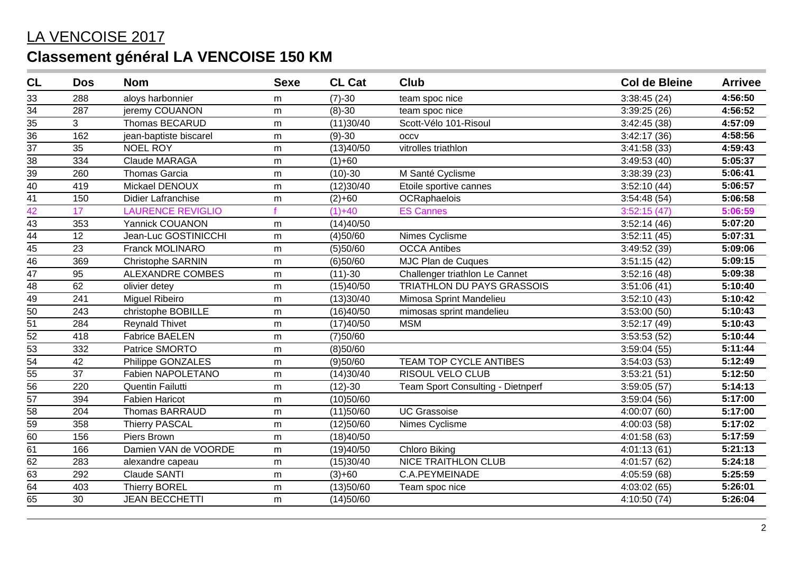| CL              | <b>Dos</b> | <b>Nom</b>                | <b>Sexe</b> | <b>CL Cat</b> | <b>Club</b>                       | <b>Col de Bleine</b> | <b>Arrivee</b> |
|-----------------|------------|---------------------------|-------------|---------------|-----------------------------------|----------------------|----------------|
| 33              | 288        | aloys harbonnier          | m           | $(7)-30$      | team spoc nice                    | 3:38:45(24)          | 4:56:50        |
| $\overline{34}$ | 287        | jeremy COUANON            | m           | $(8)-30$      | team spoc nice                    | 3:39:25(26)          | 4:56:52        |
| 35              | 3          | Thomas BECARUD            | m           | (11)30/40     | Scott-Vélo 101-Risoul             | 3:42:45(38)          | 4:57:09        |
| $\overline{36}$ | 162        | jean-baptiste biscarel    | m           | $(9)-30$      | <b>OCCV</b>                       | 3:42:17(36)          | 4:58:56        |
| $\overline{37}$ | 35         | <b>NOEL ROY</b>           | m           | (13)40/50     | vitrolles triathlon               | 3:41:58(33)          | 4:59:43        |
| $\overline{38}$ | 334        | Claude MARAGA             | m           | $(1)+60$      |                                   | 3:49:53(40)          | 5:05:37        |
| $\overline{39}$ | 260        | Thomas Garcia             | m           | $(10)-30$     | M Santé Cyclisme                  | 3:38:39(23)          | 5:06:41        |
| $\overline{40}$ | 419        | Mickael DENOUX            | m           | (12)30/40     | Etoile sportive cannes            | 3:52:10(44)          | 5:06:57        |
| 41              | 150        | <b>Didier Lafranchise</b> | m           | $(2)+60$      | <b>OCRaphaelois</b>               | 3:54:48(54)          | 5:06:58        |
| $\overline{42}$ | 17         | <b>LAURENCE REVIGLIO</b>  |             | $(1)+40$      | <b>ES Cannes</b>                  | 3:52:15(47)          | 5:06:59        |
| 43              | 353        | <b>Yannick COUANON</b>    | m           | (14)40/50     |                                   | 3:52:14(46)          | 5:07:20        |
| $\overline{44}$ | 12         | Jean-Luc GOSTINICCHI      | m           | (4)50/60      | Nimes Cyclisme                    | 3:52:11(45)          | 5:07:31        |
| $\overline{45}$ | 23         | Franck MOLINARO           | m           | (5)50/60      | <b>OCCA Antibes</b>               | 3:49:52 (39)         | 5:09:06        |
| $\overline{46}$ | 369        | <b>Christophe SARNIN</b>  | m           | (6)50/60      | MJC Plan de Cuques                | 3:51:15(42)          | 5:09:15        |
| $\overline{47}$ | 95         | <b>ALEXANDRE COMBES</b>   | m           | $(11)-30$     | Challenger triathlon Le Cannet    | 3:52:16(48)          | 5:09:38        |
| 48              | 62         | olivier detey             | m           | (15)40/50     | TRIATHLON DU PAYS GRASSOIS        | 3:51:06(41)          | 5:10:40        |
| $\overline{49}$ | 241        | <b>Miguel Ribeiro</b>     | m           | (13)30/40     | Mimosa Sprint Mandelieu           | 3:52:10(43)          | 5:10:42        |
| $\overline{50}$ | 243        | christophe BOBILLE        | m           | (16)40/50     | mimosas sprint mandelieu          | 3:53:00(50)          | 5:10:43        |
| $\overline{51}$ | 284        | <b>Reynald Thivet</b>     | m           | (17)40/50     | <b>MSM</b>                        | 3:52:17(49)          | 5:10:43        |
| $\overline{52}$ | 418        | <b>Fabrice BAELEN</b>     | m           | (7)50/60      |                                   | 3:53:53(52)          | 5:10:44        |
| $\overline{53}$ | 332        | Patrice SMORTO            | m           | (8)50/60      |                                   | 3:59:04(55)          | 5:11:44        |
| $\overline{54}$ | 42         | Philippe GONZALES         | m           | (9)50/60      | TEAM TOP CYCLE ANTIBES            | 3:54:03(53)          | 5:12:49        |
| 55              | 37         | Fabien NAPOLETANO         | m           | (14)30/40     | <b>RISOUL VELO CLUB</b>           | 3:53:21(51)          | 5:12:50        |
| $\overline{56}$ | 220        | Quentin Failutti          | m           | $(12)-30$     | Team Sport Consulting - Dietnperf | 3:59:05(57)          | 5:14:13        |
| $\overline{57}$ | 394        | <b>Fabien Haricot</b>     | m           | (10)50/60     |                                   | 3:59:04(56)          | 5:17:00        |
| $\overline{58}$ | 204        | Thomas BARRAUD            | m           | (11)50/60     | <b>UC</b> Grassoise               | 4:00:07 (60)         | 5:17:00        |
| $\overline{59}$ | 358        | <b>Thierry PASCAL</b>     | m           | (12)50/60     | Nimes Cyclisme                    | 4:00:03 (58)         | 5:17:02        |
| $\overline{60}$ | 156        | Piers Brown               | m           | (18)40/50     |                                   | 4:01:58 (63)         | 5:17:59        |
| 61              | 166        | Damien VAN de VOORDE      | m           | (19)40/50     | Chloro Biking                     | 4:01:13(61)          | 5:21:13        |
| 62              | 283        | alexandre capeau          | m           | (15)30/40     | <b>NICE TRAITHLON CLUB</b>        | 4:01:57(62)          | 5:24:18        |
| 63              | 292        | Claude SANTI              | m           | $(3)+60$      | C.A.PEYMEINADE                    | 4:05:59 (68)         | 5:25:59        |
| 64              | 403        | <b>Thierry BOREL</b>      | m           | (13)50/60     | Team spoc nice                    | 4:03:02(65)          | 5:26:01        |
| 65              | 30         | <b>JEAN BECCHETTI</b>     | m           | (14)50/60     |                                   | 4:10:50 (74)         | 5:26:04        |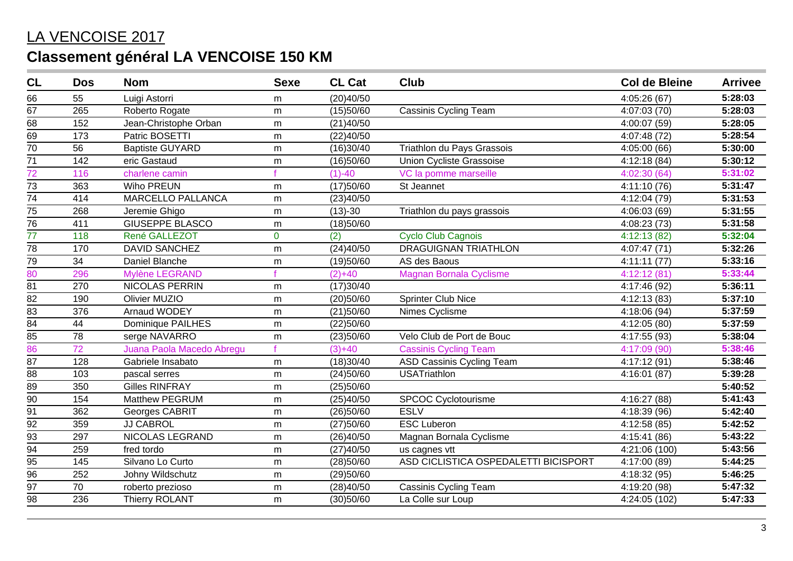| 5:28:03<br>66<br>55<br>Luigi Astorri<br>(20)40/50<br>4:05:26 (67)<br>m<br>67<br>265<br>Roberto Rogate<br>(15)50/60<br><b>Cassinis Cycling Team</b><br>4:07:03 (70)<br>5:28:03<br>m<br>$\overline{68}$<br>5:28:05<br>152<br>Jean-Christophe Orban<br>(21)40/50<br>4:00:07 (59)<br>m<br>$\overline{69}$<br>5:28:54<br>173<br>Patric BOSETTI<br>(22)40/50<br>4:07:48 (72)<br>m<br>70<br>5:30:00<br>56<br>(16)30/40<br>Triathlon du Pays Grassois<br><b>Baptiste GUYARD</b><br>4:05:00 (66)<br>m<br>$\overline{71}$<br>142<br>(16)50/60<br><b>Union Cycliste Grassoise</b><br>4:12:18 (84)<br>5:30:12<br>eric Gastaud<br>m<br>$\overline{72}$<br>5:31:02<br>116<br>$(1)-40$<br>VC la pomme marseille<br>4:02:30(64)<br>charlene camin<br>$\overline{73}$<br>363<br>Wiho PREUN<br>(17)50/60<br>St Jeannet<br>4:11:10 (76)<br>5:31:47<br>m<br>5:31:53<br>74<br>MARCELLO PALLANCA<br>4:12:04 (79)<br>414<br>(23)40/50<br>m<br>$\overline{75}$<br>5:31:55<br>268<br>Jeremie Ghigo<br>$(13)-30$<br>Triathlon du pays grassois<br>4:06:03 (69)<br>m<br>$\overline{76}$<br>5:31:58<br><b>GIUSEPPE BLASCO</b><br>411<br>(18)50/60<br>4:08:23 (73)<br>m<br>$\overline{77}$<br><b>Cyclo Club Cagnois</b><br>118<br>René GALLEZOT<br>$\overline{0}$<br>5:32:04<br>(2)<br>4:12:13 (82)<br>$\overline{78}$<br><b>DRAGUIGNAN TRIATHLON</b><br>5:32:26<br>170<br><b>DAVID SANCHEZ</b><br>(24)40/50<br>4:07:47 (71)<br>m<br>$\overline{79}$<br>34<br>Daniel Blanche<br>AS des Baous<br>5:33:16<br>(19)50/60<br>4:11:11(77)<br>m<br>80<br>5:33:44<br>Mylène LEGRAND<br>Magnan Bornala Cyclisme<br>4:12:12 (81)<br>296<br>$(2)+40$<br>$\overline{81}$<br>270<br>NICOLAS PERRIN<br>5:36:11<br>(17)30/40<br>4:17:46 (92)<br>m<br>$\overline{82}$<br><b>Sprinter Club Nice</b><br>5:37:10<br>190<br>Olivier MUZIO<br>(20)50/60<br>4:12:13 (83)<br>m<br>$\overline{83}$<br>376<br>Arnaud WODEY<br>(21)50/60<br>5:37:59<br>Nimes Cyclisme<br>4:18:06 (94)<br>m<br>$\overline{84}$<br>5:37:59<br>44<br>Dominique PAILHES<br>(22)50/60<br>4:12:05 (80)<br>m<br>$\frac{85}{86}$<br>78<br>serge NAVARRO<br>Velo Club de Port de Bouc<br>4:17:55 (93)<br>5:38:04<br>(23)50/60<br>m<br>72<br>5:38:46<br>Juana Paola Macedo Abregu<br>4:17:09 (90)<br>$(3)+40$<br><b>Cassinis Cycling Team</b><br>87<br><b>ASD Cassinis Cycling Team</b><br>5:38:46<br>128<br>Gabriele Insabato<br>(18)30/40<br>4:17:12 (91)<br>m<br>$\overline{88}$<br>5:39:28<br>103<br><b>USATriathlon</b><br>4:16:01 (87)<br>(24)50/60<br>pascal serres<br>m<br>$\overline{89}$<br><b>Gilles RINFRAY</b><br>5:40:52<br>350<br>(25)50/60<br>m<br>$\overline{90}$<br>5:41:43<br>4:16:27 (88)<br>154<br>Matthew PEGRUM<br>(25)40/50<br><b>SPCOC Cyclotourisme</b><br>m<br>$\overline{91}$<br>362<br><b>ESLV</b><br>5:42:40<br>Georges CABRIT<br>(26)50/60<br>4:18:39 (96)<br>m<br>$\overline{92}$<br>5:42:52<br>359<br><b>JJ CABROL</b><br><b>ESC Luberon</b><br>(27)50/60<br>4:12:58 (85)<br>m<br>$\overline{93}$<br>297<br><b>NICOLAS LEGRAND</b><br>5:43:22<br>(26)40/50<br>Magnan Bornala Cyclisme<br>4:15:41 (86)<br>m<br>$\overline{94}$<br>5:43:56<br>259<br>fred tordo<br>4:21:06 (100)<br>(27)40/50<br>us cagnes vtt<br>m<br>$\overline{95}$<br>ASD CICLISTICA OSPEDALETTI BICISPORT<br>5:44:25<br>145<br>Silvano Lo Curto<br>(28)50/60<br>4:17:00 (89)<br>m<br>$\overline{96}$<br>5:46:25<br>252<br>Johny Wildschutz<br>(29)50/60<br>4:18:32 (95)<br>m<br>$\overline{97}$<br>5:47:32<br>70<br>roberto prezioso<br>(28)40/50<br>Cassinis Cycling Team<br>4:19:20 (98)<br>m<br>$\overline{98}$<br>236<br>5:47:33<br>Thierry ROLANT<br>La Colle sur Loup<br>(30)50/60<br>4:24:05 (102)<br>m | CL | <b>Dos</b> | <b>Nom</b> | <b>Sexe</b> | <b>CL Cat</b> | <b>Club</b> | <b>Col de Bleine</b> | <b>Arrivee</b> |
|-----------------------------------------------------------------------------------------------------------------------------------------------------------------------------------------------------------------------------------------------------------------------------------------------------------------------------------------------------------------------------------------------------------------------------------------------------------------------------------------------------------------------------------------------------------------------------------------------------------------------------------------------------------------------------------------------------------------------------------------------------------------------------------------------------------------------------------------------------------------------------------------------------------------------------------------------------------------------------------------------------------------------------------------------------------------------------------------------------------------------------------------------------------------------------------------------------------------------------------------------------------------------------------------------------------------------------------------------------------------------------------------------------------------------------------------------------------------------------------------------------------------------------------------------------------------------------------------------------------------------------------------------------------------------------------------------------------------------------------------------------------------------------------------------------------------------------------------------------------------------------------------------------------------------------------------------------------------------------------------------------------------------------------------------------------------------------------------------------------------------------------------------------------------------------------------------------------------------------------------------------------------------------------------------------------------------------------------------------------------------------------------------------------------------------------------------------------------------------------------------------------------------------------------------------------------------------------------------------------------------------------------------------------------------------------------------------------------------------------------------------------------------------------------------------------------------------------------------------------------------------------------------------------------------------------------------------------------------------------------------------------------------------------------------------------------------------------------------------------------------------------------------------------------------------------------------------------------------------------------------------------------------------------------------------------------------------------------------------------------------------------------------------------------------------------------------------------------------------------------------------------------------------------------------------------------------------------------------------------------------------------|----|------------|------------|-------------|---------------|-------------|----------------------|----------------|
|                                                                                                                                                                                                                                                                                                                                                                                                                                                                                                                                                                                                                                                                                                                                                                                                                                                                                                                                                                                                                                                                                                                                                                                                                                                                                                                                                                                                                                                                                                                                                                                                                                                                                                                                                                                                                                                                                                                                                                                                                                                                                                                                                                                                                                                                                                                                                                                                                                                                                                                                                                                                                                                                                                                                                                                                                                                                                                                                                                                                                                                                                                                                                                                                                                                                                                                                                                                                                                                                                                                                                                                                                                   |    |            |            |             |               |             |                      |                |
|                                                                                                                                                                                                                                                                                                                                                                                                                                                                                                                                                                                                                                                                                                                                                                                                                                                                                                                                                                                                                                                                                                                                                                                                                                                                                                                                                                                                                                                                                                                                                                                                                                                                                                                                                                                                                                                                                                                                                                                                                                                                                                                                                                                                                                                                                                                                                                                                                                                                                                                                                                                                                                                                                                                                                                                                                                                                                                                                                                                                                                                                                                                                                                                                                                                                                                                                                                                                                                                                                                                                                                                                                                   |    |            |            |             |               |             |                      |                |
|                                                                                                                                                                                                                                                                                                                                                                                                                                                                                                                                                                                                                                                                                                                                                                                                                                                                                                                                                                                                                                                                                                                                                                                                                                                                                                                                                                                                                                                                                                                                                                                                                                                                                                                                                                                                                                                                                                                                                                                                                                                                                                                                                                                                                                                                                                                                                                                                                                                                                                                                                                                                                                                                                                                                                                                                                                                                                                                                                                                                                                                                                                                                                                                                                                                                                                                                                                                                                                                                                                                                                                                                                                   |    |            |            |             |               |             |                      |                |
|                                                                                                                                                                                                                                                                                                                                                                                                                                                                                                                                                                                                                                                                                                                                                                                                                                                                                                                                                                                                                                                                                                                                                                                                                                                                                                                                                                                                                                                                                                                                                                                                                                                                                                                                                                                                                                                                                                                                                                                                                                                                                                                                                                                                                                                                                                                                                                                                                                                                                                                                                                                                                                                                                                                                                                                                                                                                                                                                                                                                                                                                                                                                                                                                                                                                                                                                                                                                                                                                                                                                                                                                                                   |    |            |            |             |               |             |                      |                |
|                                                                                                                                                                                                                                                                                                                                                                                                                                                                                                                                                                                                                                                                                                                                                                                                                                                                                                                                                                                                                                                                                                                                                                                                                                                                                                                                                                                                                                                                                                                                                                                                                                                                                                                                                                                                                                                                                                                                                                                                                                                                                                                                                                                                                                                                                                                                                                                                                                                                                                                                                                                                                                                                                                                                                                                                                                                                                                                                                                                                                                                                                                                                                                                                                                                                                                                                                                                                                                                                                                                                                                                                                                   |    |            |            |             |               |             |                      |                |
|                                                                                                                                                                                                                                                                                                                                                                                                                                                                                                                                                                                                                                                                                                                                                                                                                                                                                                                                                                                                                                                                                                                                                                                                                                                                                                                                                                                                                                                                                                                                                                                                                                                                                                                                                                                                                                                                                                                                                                                                                                                                                                                                                                                                                                                                                                                                                                                                                                                                                                                                                                                                                                                                                                                                                                                                                                                                                                                                                                                                                                                                                                                                                                                                                                                                                                                                                                                                                                                                                                                                                                                                                                   |    |            |            |             |               |             |                      |                |
|                                                                                                                                                                                                                                                                                                                                                                                                                                                                                                                                                                                                                                                                                                                                                                                                                                                                                                                                                                                                                                                                                                                                                                                                                                                                                                                                                                                                                                                                                                                                                                                                                                                                                                                                                                                                                                                                                                                                                                                                                                                                                                                                                                                                                                                                                                                                                                                                                                                                                                                                                                                                                                                                                                                                                                                                                                                                                                                                                                                                                                                                                                                                                                                                                                                                                                                                                                                                                                                                                                                                                                                                                                   |    |            |            |             |               |             |                      |                |
|                                                                                                                                                                                                                                                                                                                                                                                                                                                                                                                                                                                                                                                                                                                                                                                                                                                                                                                                                                                                                                                                                                                                                                                                                                                                                                                                                                                                                                                                                                                                                                                                                                                                                                                                                                                                                                                                                                                                                                                                                                                                                                                                                                                                                                                                                                                                                                                                                                                                                                                                                                                                                                                                                                                                                                                                                                                                                                                                                                                                                                                                                                                                                                                                                                                                                                                                                                                                                                                                                                                                                                                                                                   |    |            |            |             |               |             |                      |                |
|                                                                                                                                                                                                                                                                                                                                                                                                                                                                                                                                                                                                                                                                                                                                                                                                                                                                                                                                                                                                                                                                                                                                                                                                                                                                                                                                                                                                                                                                                                                                                                                                                                                                                                                                                                                                                                                                                                                                                                                                                                                                                                                                                                                                                                                                                                                                                                                                                                                                                                                                                                                                                                                                                                                                                                                                                                                                                                                                                                                                                                                                                                                                                                                                                                                                                                                                                                                                                                                                                                                                                                                                                                   |    |            |            |             |               |             |                      |                |
|                                                                                                                                                                                                                                                                                                                                                                                                                                                                                                                                                                                                                                                                                                                                                                                                                                                                                                                                                                                                                                                                                                                                                                                                                                                                                                                                                                                                                                                                                                                                                                                                                                                                                                                                                                                                                                                                                                                                                                                                                                                                                                                                                                                                                                                                                                                                                                                                                                                                                                                                                                                                                                                                                                                                                                                                                                                                                                                                                                                                                                                                                                                                                                                                                                                                                                                                                                                                                                                                                                                                                                                                                                   |    |            |            |             |               |             |                      |                |
|                                                                                                                                                                                                                                                                                                                                                                                                                                                                                                                                                                                                                                                                                                                                                                                                                                                                                                                                                                                                                                                                                                                                                                                                                                                                                                                                                                                                                                                                                                                                                                                                                                                                                                                                                                                                                                                                                                                                                                                                                                                                                                                                                                                                                                                                                                                                                                                                                                                                                                                                                                                                                                                                                                                                                                                                                                                                                                                                                                                                                                                                                                                                                                                                                                                                                                                                                                                                                                                                                                                                                                                                                                   |    |            |            |             |               |             |                      |                |
|                                                                                                                                                                                                                                                                                                                                                                                                                                                                                                                                                                                                                                                                                                                                                                                                                                                                                                                                                                                                                                                                                                                                                                                                                                                                                                                                                                                                                                                                                                                                                                                                                                                                                                                                                                                                                                                                                                                                                                                                                                                                                                                                                                                                                                                                                                                                                                                                                                                                                                                                                                                                                                                                                                                                                                                                                                                                                                                                                                                                                                                                                                                                                                                                                                                                                                                                                                                                                                                                                                                                                                                                                                   |    |            |            |             |               |             |                      |                |
|                                                                                                                                                                                                                                                                                                                                                                                                                                                                                                                                                                                                                                                                                                                                                                                                                                                                                                                                                                                                                                                                                                                                                                                                                                                                                                                                                                                                                                                                                                                                                                                                                                                                                                                                                                                                                                                                                                                                                                                                                                                                                                                                                                                                                                                                                                                                                                                                                                                                                                                                                                                                                                                                                                                                                                                                                                                                                                                                                                                                                                                                                                                                                                                                                                                                                                                                                                                                                                                                                                                                                                                                                                   |    |            |            |             |               |             |                      |                |
|                                                                                                                                                                                                                                                                                                                                                                                                                                                                                                                                                                                                                                                                                                                                                                                                                                                                                                                                                                                                                                                                                                                                                                                                                                                                                                                                                                                                                                                                                                                                                                                                                                                                                                                                                                                                                                                                                                                                                                                                                                                                                                                                                                                                                                                                                                                                                                                                                                                                                                                                                                                                                                                                                                                                                                                                                                                                                                                                                                                                                                                                                                                                                                                                                                                                                                                                                                                                                                                                                                                                                                                                                                   |    |            |            |             |               |             |                      |                |
|                                                                                                                                                                                                                                                                                                                                                                                                                                                                                                                                                                                                                                                                                                                                                                                                                                                                                                                                                                                                                                                                                                                                                                                                                                                                                                                                                                                                                                                                                                                                                                                                                                                                                                                                                                                                                                                                                                                                                                                                                                                                                                                                                                                                                                                                                                                                                                                                                                                                                                                                                                                                                                                                                                                                                                                                                                                                                                                                                                                                                                                                                                                                                                                                                                                                                                                                                                                                                                                                                                                                                                                                                                   |    |            |            |             |               |             |                      |                |
|                                                                                                                                                                                                                                                                                                                                                                                                                                                                                                                                                                                                                                                                                                                                                                                                                                                                                                                                                                                                                                                                                                                                                                                                                                                                                                                                                                                                                                                                                                                                                                                                                                                                                                                                                                                                                                                                                                                                                                                                                                                                                                                                                                                                                                                                                                                                                                                                                                                                                                                                                                                                                                                                                                                                                                                                                                                                                                                                                                                                                                                                                                                                                                                                                                                                                                                                                                                                                                                                                                                                                                                                                                   |    |            |            |             |               |             |                      |                |
|                                                                                                                                                                                                                                                                                                                                                                                                                                                                                                                                                                                                                                                                                                                                                                                                                                                                                                                                                                                                                                                                                                                                                                                                                                                                                                                                                                                                                                                                                                                                                                                                                                                                                                                                                                                                                                                                                                                                                                                                                                                                                                                                                                                                                                                                                                                                                                                                                                                                                                                                                                                                                                                                                                                                                                                                                                                                                                                                                                                                                                                                                                                                                                                                                                                                                                                                                                                                                                                                                                                                                                                                                                   |    |            |            |             |               |             |                      |                |
|                                                                                                                                                                                                                                                                                                                                                                                                                                                                                                                                                                                                                                                                                                                                                                                                                                                                                                                                                                                                                                                                                                                                                                                                                                                                                                                                                                                                                                                                                                                                                                                                                                                                                                                                                                                                                                                                                                                                                                                                                                                                                                                                                                                                                                                                                                                                                                                                                                                                                                                                                                                                                                                                                                                                                                                                                                                                                                                                                                                                                                                                                                                                                                                                                                                                                                                                                                                                                                                                                                                                                                                                                                   |    |            |            |             |               |             |                      |                |
|                                                                                                                                                                                                                                                                                                                                                                                                                                                                                                                                                                                                                                                                                                                                                                                                                                                                                                                                                                                                                                                                                                                                                                                                                                                                                                                                                                                                                                                                                                                                                                                                                                                                                                                                                                                                                                                                                                                                                                                                                                                                                                                                                                                                                                                                                                                                                                                                                                                                                                                                                                                                                                                                                                                                                                                                                                                                                                                                                                                                                                                                                                                                                                                                                                                                                                                                                                                                                                                                                                                                                                                                                                   |    |            |            |             |               |             |                      |                |
|                                                                                                                                                                                                                                                                                                                                                                                                                                                                                                                                                                                                                                                                                                                                                                                                                                                                                                                                                                                                                                                                                                                                                                                                                                                                                                                                                                                                                                                                                                                                                                                                                                                                                                                                                                                                                                                                                                                                                                                                                                                                                                                                                                                                                                                                                                                                                                                                                                                                                                                                                                                                                                                                                                                                                                                                                                                                                                                                                                                                                                                                                                                                                                                                                                                                                                                                                                                                                                                                                                                                                                                                                                   |    |            |            |             |               |             |                      |                |
|                                                                                                                                                                                                                                                                                                                                                                                                                                                                                                                                                                                                                                                                                                                                                                                                                                                                                                                                                                                                                                                                                                                                                                                                                                                                                                                                                                                                                                                                                                                                                                                                                                                                                                                                                                                                                                                                                                                                                                                                                                                                                                                                                                                                                                                                                                                                                                                                                                                                                                                                                                                                                                                                                                                                                                                                                                                                                                                                                                                                                                                                                                                                                                                                                                                                                                                                                                                                                                                                                                                                                                                                                                   |    |            |            |             |               |             |                      |                |
|                                                                                                                                                                                                                                                                                                                                                                                                                                                                                                                                                                                                                                                                                                                                                                                                                                                                                                                                                                                                                                                                                                                                                                                                                                                                                                                                                                                                                                                                                                                                                                                                                                                                                                                                                                                                                                                                                                                                                                                                                                                                                                                                                                                                                                                                                                                                                                                                                                                                                                                                                                                                                                                                                                                                                                                                                                                                                                                                                                                                                                                                                                                                                                                                                                                                                                                                                                                                                                                                                                                                                                                                                                   |    |            |            |             |               |             |                      |                |
|                                                                                                                                                                                                                                                                                                                                                                                                                                                                                                                                                                                                                                                                                                                                                                                                                                                                                                                                                                                                                                                                                                                                                                                                                                                                                                                                                                                                                                                                                                                                                                                                                                                                                                                                                                                                                                                                                                                                                                                                                                                                                                                                                                                                                                                                                                                                                                                                                                                                                                                                                                                                                                                                                                                                                                                                                                                                                                                                                                                                                                                                                                                                                                                                                                                                                                                                                                                                                                                                                                                                                                                                                                   |    |            |            |             |               |             |                      |                |
|                                                                                                                                                                                                                                                                                                                                                                                                                                                                                                                                                                                                                                                                                                                                                                                                                                                                                                                                                                                                                                                                                                                                                                                                                                                                                                                                                                                                                                                                                                                                                                                                                                                                                                                                                                                                                                                                                                                                                                                                                                                                                                                                                                                                                                                                                                                                                                                                                                                                                                                                                                                                                                                                                                                                                                                                                                                                                                                                                                                                                                                                                                                                                                                                                                                                                                                                                                                                                                                                                                                                                                                                                                   |    |            |            |             |               |             |                      |                |
|                                                                                                                                                                                                                                                                                                                                                                                                                                                                                                                                                                                                                                                                                                                                                                                                                                                                                                                                                                                                                                                                                                                                                                                                                                                                                                                                                                                                                                                                                                                                                                                                                                                                                                                                                                                                                                                                                                                                                                                                                                                                                                                                                                                                                                                                                                                                                                                                                                                                                                                                                                                                                                                                                                                                                                                                                                                                                                                                                                                                                                                                                                                                                                                                                                                                                                                                                                                                                                                                                                                                                                                                                                   |    |            |            |             |               |             |                      |                |
|                                                                                                                                                                                                                                                                                                                                                                                                                                                                                                                                                                                                                                                                                                                                                                                                                                                                                                                                                                                                                                                                                                                                                                                                                                                                                                                                                                                                                                                                                                                                                                                                                                                                                                                                                                                                                                                                                                                                                                                                                                                                                                                                                                                                                                                                                                                                                                                                                                                                                                                                                                                                                                                                                                                                                                                                                                                                                                                                                                                                                                                                                                                                                                                                                                                                                                                                                                                                                                                                                                                                                                                                                                   |    |            |            |             |               |             |                      |                |
|                                                                                                                                                                                                                                                                                                                                                                                                                                                                                                                                                                                                                                                                                                                                                                                                                                                                                                                                                                                                                                                                                                                                                                                                                                                                                                                                                                                                                                                                                                                                                                                                                                                                                                                                                                                                                                                                                                                                                                                                                                                                                                                                                                                                                                                                                                                                                                                                                                                                                                                                                                                                                                                                                                                                                                                                                                                                                                                                                                                                                                                                                                                                                                                                                                                                                                                                                                                                                                                                                                                                                                                                                                   |    |            |            |             |               |             |                      |                |
|                                                                                                                                                                                                                                                                                                                                                                                                                                                                                                                                                                                                                                                                                                                                                                                                                                                                                                                                                                                                                                                                                                                                                                                                                                                                                                                                                                                                                                                                                                                                                                                                                                                                                                                                                                                                                                                                                                                                                                                                                                                                                                                                                                                                                                                                                                                                                                                                                                                                                                                                                                                                                                                                                                                                                                                                                                                                                                                                                                                                                                                                                                                                                                                                                                                                                                                                                                                                                                                                                                                                                                                                                                   |    |            |            |             |               |             |                      |                |
|                                                                                                                                                                                                                                                                                                                                                                                                                                                                                                                                                                                                                                                                                                                                                                                                                                                                                                                                                                                                                                                                                                                                                                                                                                                                                                                                                                                                                                                                                                                                                                                                                                                                                                                                                                                                                                                                                                                                                                                                                                                                                                                                                                                                                                                                                                                                                                                                                                                                                                                                                                                                                                                                                                                                                                                                                                                                                                                                                                                                                                                                                                                                                                                                                                                                                                                                                                                                                                                                                                                                                                                                                                   |    |            |            |             |               |             |                      |                |
|                                                                                                                                                                                                                                                                                                                                                                                                                                                                                                                                                                                                                                                                                                                                                                                                                                                                                                                                                                                                                                                                                                                                                                                                                                                                                                                                                                                                                                                                                                                                                                                                                                                                                                                                                                                                                                                                                                                                                                                                                                                                                                                                                                                                                                                                                                                                                                                                                                                                                                                                                                                                                                                                                                                                                                                                                                                                                                                                                                                                                                                                                                                                                                                                                                                                                                                                                                                                                                                                                                                                                                                                                                   |    |            |            |             |               |             |                      |                |
|                                                                                                                                                                                                                                                                                                                                                                                                                                                                                                                                                                                                                                                                                                                                                                                                                                                                                                                                                                                                                                                                                                                                                                                                                                                                                                                                                                                                                                                                                                                                                                                                                                                                                                                                                                                                                                                                                                                                                                                                                                                                                                                                                                                                                                                                                                                                                                                                                                                                                                                                                                                                                                                                                                                                                                                                                                                                                                                                                                                                                                                                                                                                                                                                                                                                                                                                                                                                                                                                                                                                                                                                                                   |    |            |            |             |               |             |                      |                |
|                                                                                                                                                                                                                                                                                                                                                                                                                                                                                                                                                                                                                                                                                                                                                                                                                                                                                                                                                                                                                                                                                                                                                                                                                                                                                                                                                                                                                                                                                                                                                                                                                                                                                                                                                                                                                                                                                                                                                                                                                                                                                                                                                                                                                                                                                                                                                                                                                                                                                                                                                                                                                                                                                                                                                                                                                                                                                                                                                                                                                                                                                                                                                                                                                                                                                                                                                                                                                                                                                                                                                                                                                                   |    |            |            |             |               |             |                      |                |
|                                                                                                                                                                                                                                                                                                                                                                                                                                                                                                                                                                                                                                                                                                                                                                                                                                                                                                                                                                                                                                                                                                                                                                                                                                                                                                                                                                                                                                                                                                                                                                                                                                                                                                                                                                                                                                                                                                                                                                                                                                                                                                                                                                                                                                                                                                                                                                                                                                                                                                                                                                                                                                                                                                                                                                                                                                                                                                                                                                                                                                                                                                                                                                                                                                                                                                                                                                                                                                                                                                                                                                                                                                   |    |            |            |             |               |             |                      |                |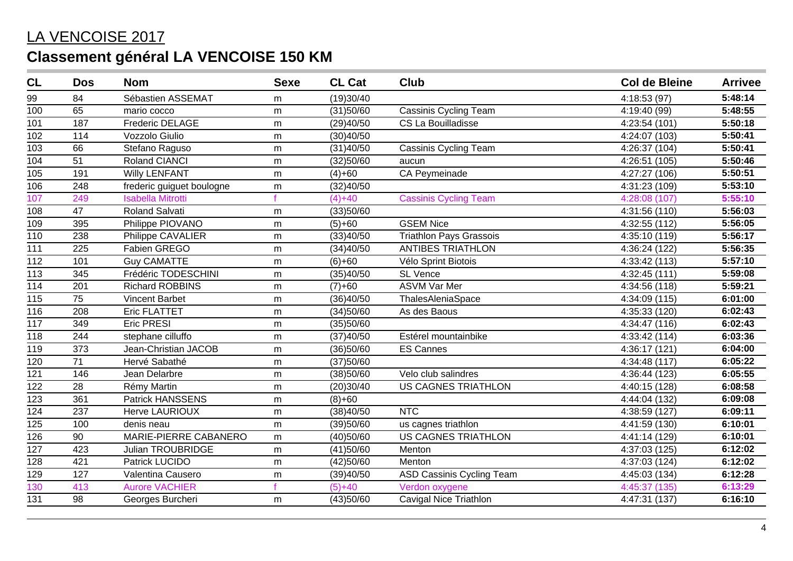| CL               | <b>Dos</b> | <b>Nom</b>                | <b>Sexe</b> | <b>CL Cat</b> | Club                             | <b>Col de Bleine</b> | <b>Arrivee</b> |
|------------------|------------|---------------------------|-------------|---------------|----------------------------------|----------------------|----------------|
| 99               | 84         | Sébastien ASSEMAT         | m           | (19)30/40     |                                  | 4:18:53 (97)         | 5:48:14        |
| 100              | 65         | mario cocco               | m           | (31)50/60     | Cassinis Cycling Team            | 4:19:40 (99)         | 5:48:55        |
| 101              | 187        | Frederic DELAGE           | m           | (29)40/50     | CS La Bouilladisse               | 4:23:54 (101)        | 5:50:18        |
| 102              | 114        | Vozzolo Giulio            | m           | (30)40/50     |                                  | 4:24:07 (103)        | 5:50:41        |
| 103              | 66         | Stefano Raguso            | m           | (31)40/50     | Cassinis Cycling Team            | 4:26:37 (104)        | 5:50:41        |
| 104              | 51         | Roland CIANCI             | m           | (32)50/60     | aucun                            | 4:26:51 (105)        | 5:50:46        |
| 105              | 191        | <b>Willy LENFANT</b>      | m           | $(4)+60$      | CA Peymeinade                    | 4:27:27 (106)        | 5:50:51        |
| 106              | 248        | frederic guiguet boulogne | m           | (32)40/50     |                                  | 4:31:23 (109)        | 5:53:10        |
| 107              | 249        | <b>Isabella Mitrotti</b>  |             | $(4)+40$      | <b>Cassinis Cycling Team</b>     | 4:28:08 (107)        | 5:55:10        |
| 108              | 47         | <b>Roland Salvati</b>     | m           | (33)50/60     |                                  | 4:31:56(110)         | 5:56:03        |
| 109              | 395        | Philippe PIOVANO          | m           | $(5)+60$      | <b>GSEM Nice</b>                 | 4:32:55 (112)        | 5:56:05        |
| 110              | 238        | Philippe CAVALIER         | m           | (33)40/50     | <b>Triathlon Pays Grassois</b>   | 4:35:10 (119)        | 5:56:17        |
| 111              | 225        | Fabien GREGO              | m           | (34)40/50     | <b>ANTIBES TRIATHLON</b>         | 4:36:24 (122)        | 5:56:35        |
| $\frac{1}{112}$  | 101        | <b>Guy CAMATTE</b>        | m           | $(6)+60$      | Vélo Sprint Biotois              | 4:33:42 (113)        | 5:57:10        |
| 113              | 345        | Frédéric TODESCHINI       | m           | (35)40/50     | <b>SL Vence</b>                  | 4:32:45 (111)        | 5:59:08        |
| 114              | 201        | <b>Richard ROBBINS</b>    | m           | $(7)+60$      | <b>ASVM Var Mer</b>              | 4:34:56 (118)        | 5:59:21        |
| 115              | 75         | <b>Vincent Barbet</b>     | m           | (36)40/50     | ThalesAleniaSpace                | 4:34:09 (115)        | 6:01:00        |
| 116              | 208        | <b>Eric FLATTET</b>       | m           | (34)50/60     | As des Baous                     | 4:35:33 (120)        | 6:02:43        |
| 117              | 349        | <b>Eric PRESI</b>         | m           | (35)50/60     |                                  | 4:34:47 (116)        | 6:02:43        |
| 118              | 244        | stephane cilluffo         | m           | (37)40/50     | Estérel mountainbike             | 4:33:42 (114)        | 6:03:36        |
| 119              | 373        | Jean-Christian JACOB      | m           | (36)50/60     | <b>ES Cannes</b>                 | 4:36:17 (121)        | 6:04:00        |
| 120              | 71         | Hervé Sabathé             | m           | (37)50/60     |                                  | 4:34:48 (117)        | 6:05:22        |
| 121              | 146        | Jean Delarbre             | m           | (38)50/60     | Velo club salindres              | 4:36:44 (123)        | 6:05:55        |
| 122              | 28         | Rémy Martin               | m           | (20)30/40     | <b>US CAGNES TRIATHLON</b>       | 4:40:15 (128)        | 6:08:58        |
| 123              | 361        | <b>Patrick HANSSENS</b>   | m           | $(8)+60$      |                                  | 4:44:04 (132)        | 6:09:08        |
| $\overline{124}$ | 237        | Herve LAURIOUX            | m           | (38)40/50     | <b>NTC</b>                       | 4:38:59 (127)        | 6:09:11        |
| 125              | 100        | denis neau                | m           | (39)50/60     | us cagnes triathlon              | 4:41:59 (130)        | 6:10:01        |
| 126              | 90         | MARIE-PIERRE CABANERO     | m           | (40)50/60     | US CAGNES TRIATHLON              | 4:41:14 (129)        | 6:10:01        |
| 127              | 423        | Julian TROUBRIDGE         | m           | (41)50/60     | Menton                           | 4:37:03 (125)        | 6:12:02        |
| 128              | 421        | Patrick LUCIDO            | m           | (42)50/60     | Menton                           | 4:37:03 (124)        | 6:12:02        |
| 129              | 127        | Valentina Causero         | m           | (39)40/50     | <b>ASD Cassinis Cycling Team</b> | 4:45:03 (134)        | 6:12:28        |
| 130              | 413        | <b>Aurore VACHIER</b>     |             | $(5)+40$      | Verdon oxygene                   | 4:45:37 (135)        | 6:13:29        |
| 131              | 98         | Georges Burcheri          | m           | (43)50/60     | Cavigal Nice Triathlon           | 4:47:31 (137)        | 6:16:10        |